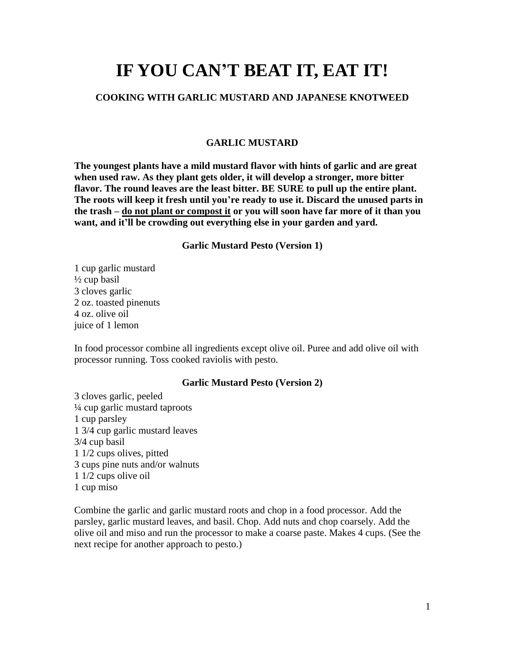# **IF YOU CAN'T BEAT IT, EAT IT!**

# **COOKING WITH GARLIC MUSTARD AND JAPANESE KNOTWEED**

## **GARLIC MUSTARD**

**The youngest plants have a mild mustard flavor with hints of garlic and are great when used raw. As they plant gets older, it will develop a stronger, more bitter flavor. The round leaves are the least bitter. BE SURE to pull up the entire plant. The roots will keep it fresh until you're ready to use it. Discard the unused parts in the trash – do not plant or compost it or you will soon have far more of it than you want, and it'll be crowding out everything else in your garden and yard.**

**Garlic Mustard Pesto (Version 1)**

1 cup garlic mustard  $\frac{1}{2}$  cup basil 3 cloves garlic 2 oz. toasted pinenuts 4 oz. olive oil juice of 1 lemon

In food processor combine all ingredients except olive oil. Puree and add olive oil with processor running. Toss cooked raviolis with pesto.

## **Garlic Mustard Pesto (Version 2)**

3 cloves garlic, peeled ¼ cup garlic mustard taproots 1 cup parsley 1 3/4 cup garlic mustard leaves 3/4 cup basil 1 1/2 cups olives, pitted 3 cups pine nuts and/or walnuts 1 1/2 cups olive oil 1 cup miso

Combine the garlic and garlic mustard roots and chop in a food processor. Add the parsley, garlic mustard leaves, and basil. Chop. Add nuts and chop coarsely. Add the olive oil and miso and run the processor to make a coarse paste. Makes 4 cups. (See the next recipe for another approach to pesto.)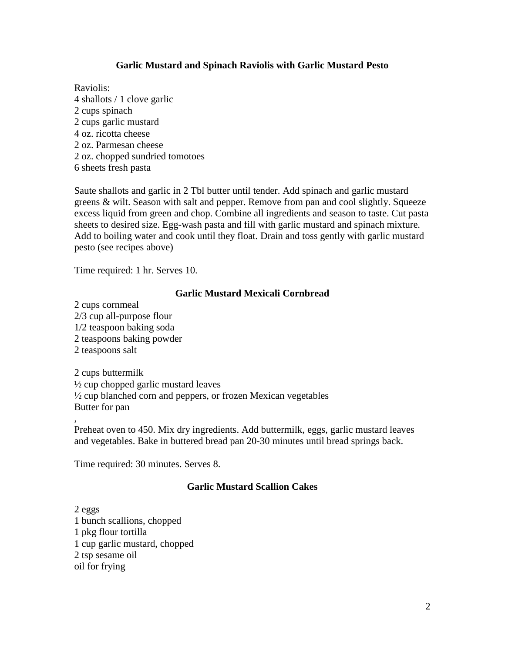## **Garlic Mustard and Spinach Raviolis with Garlic Mustard Pesto**

Raviolis: 4 shallots / 1 clove garlic 2 cups spinach 2 cups garlic mustard 4 oz. ricotta cheese 2 oz. Parmesan cheese 2 oz. chopped sundried tomotoes 6 sheets fresh pasta

Saute shallots and garlic in 2 Tbl butter until tender. Add spinach and garlic mustard greens & wilt. Season with salt and pepper. Remove from pan and cool slightly. Squeeze excess liquid from green and chop. Combine all ingredients and season to taste. Cut pasta sheets to desired size. Egg-wash pasta and fill with garlic mustard and spinach mixture. Add to boiling water and cook until they float. Drain and toss gently with garlic mustard pesto (see recipes above)

Time required: 1 hr. Serves 10.

## **Garlic Mustard Mexicali Cornbread**

2 cups cornmeal 2/3 cup all-purpose flour 1/2 teaspoon baking soda 2 teaspoons baking powder 2 teaspoons salt

,

2 cups buttermilk  $\frac{1}{2}$  cup chopped garlic mustard leaves ½ cup blanched corn and peppers, or frozen Mexican vegetables Butter for pan

Preheat oven to 450. Mix dry ingredients. Add buttermilk, eggs, garlic mustard leaves and vegetables. Bake in buttered bread pan 20-30 minutes until bread springs back.

Time required: 30 minutes. Serves 8.

## **Garlic Mustard Scallion Cakes**

2 eggs 1 bunch scallions, chopped 1 pkg flour tortilla 1 cup garlic mustard, chopped 2 tsp sesame oil oil for frying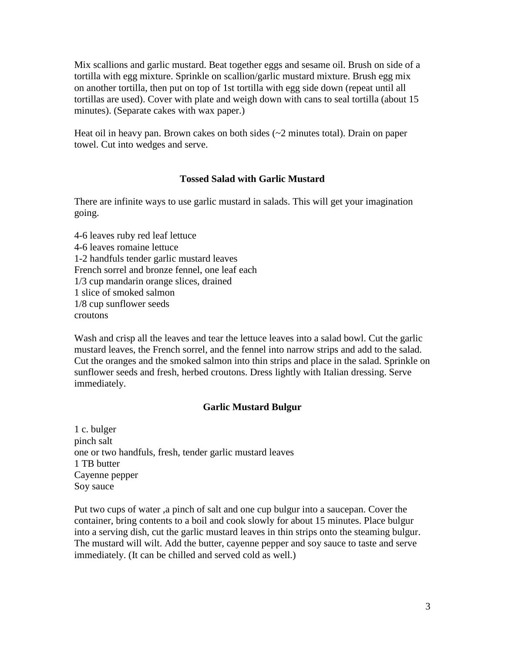Mix scallions and garlic mustard. Beat together eggs and sesame oil. Brush on side of a tortilla with egg mixture. Sprinkle on scallion/garlic mustard mixture. Brush egg mix on another tortilla, then put on top of 1st tortilla with egg side down (repeat until all tortillas are used). Cover with plate and weigh down with cans to seal tortilla (about 15 minutes). (Separate cakes with wax paper.)

Heat oil in heavy pan. Brown cakes on both sides  $\sim$  2 minutes total). Drain on paper towel. Cut into wedges and serve.

# **Tossed Salad with Garlic Mustard**

There are infinite ways to use garlic mustard in salads. This will get your imagination going.

4-6 leaves ruby red leaf lettuce 4-6 leaves romaine lettuce 1-2 handfuls tender garlic mustard leaves French sorrel and bronze fennel, one leaf each 1/3 cup mandarin orange slices, drained 1 slice of smoked salmon 1/8 cup sunflower seeds croutons

Wash and crisp all the leaves and tear the lettuce leaves into a salad bowl. Cut the garlic mustard leaves, the French sorrel, and the fennel into narrow strips and add to the salad. Cut the oranges and the smoked salmon into thin strips and place in the salad. Sprinkle on sunflower seeds and fresh, herbed croutons. Dress lightly with Italian dressing. Serve immediately.

# **Garlic Mustard Bulgur**

1 c. bulger pinch salt one or two handfuls, fresh, tender garlic mustard leaves 1 TB butter Cayenne pepper Soy sauce

Put two cups of water ,a pinch of salt and one cup bulgur into a saucepan. Cover the container, bring contents to a boil and cook slowly for about 15 minutes. Place bulgur into a serving dish, cut the garlic mustard leaves in thin strips onto the steaming bulgur. The mustard will wilt. Add the butter, cayenne pepper and soy sauce to taste and serve immediately. (It can be chilled and served cold as well.)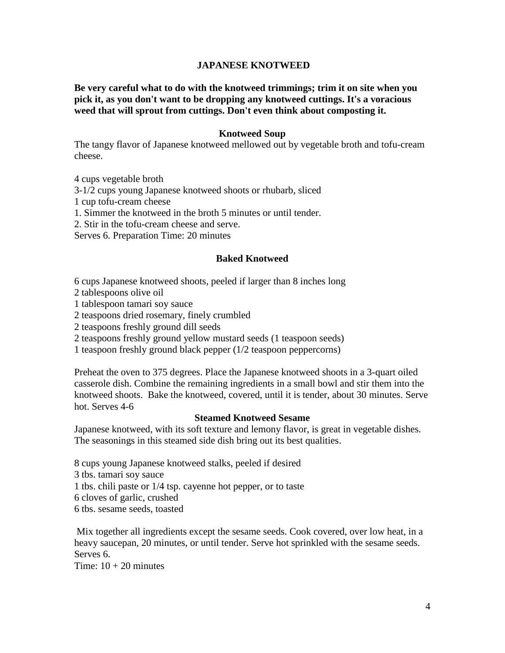## **JAPANESE KNOTWEED**

**Be very careful what to do with the knotweed trimmings; trim it on site when you pick it, as you don't want to be dropping any knotweed cuttings. It's a voracious weed that will sprout from cuttings. Don't even think about composting it.**

#### **Knotweed Soup**

The tangy flavor of [Japanese knotweed](http://www.wildmanstevebrill.com/Plants.Folder/Knotweed.html) mellowed out by vegetable broth and tofu-cream cheese.

4 cups vegetable broth

3-1/2 cups young [Japanese knotweed](http://www.wildmanstevebrill.com/Plants.Folder/Knotweed.html) shoots or rhubarb, sliced

1 cup [tofu-cream cheese](http://www.wildmanstevebrill.com/Web%20Recipes/Tofu%20Cream%20Cheese.html)

1. Simmer the knotweed in the broth 5 minutes or until tender.

2. Stir in the tofu-cream cheese and serve.

Serves 6. Preparation Time: 20 minutes

#### **Baked Knotweed**

6 cups Japanese knotweed shoots, peeled if larger than 8 inches long

2 tablespoons olive oil

1 tablespoon tamari soy sauce

2 teaspoons dried rosemary, finely crumbled

2 teaspoons freshly ground dill seeds

2 teaspoons freshly ground yellow mustard seeds (1 teaspoon seeds)

1 teaspoon freshly ground black pepper (1/2 teaspoon peppercorns)

Preheat the oven to 375 degrees. Place the Japanese knotweed shoots in a 3-quart oiled casserole dish. Combine the remaining ingredients in a small bowl and stir them into the knotweed shoots. Bake the knotweed, covered, until it is tender, about 30 minutes. Serve hot. Serves 4-6

#### **Steamed Knotweed Sesame**

Japanese knotweed, with its soft texture and lemony flavor, is great in vegetable dishes. The seasonings in this steamed side dish bring out its best qualities.

8 cups young [Japanese knotweed](http://www.wildmanstevebrill.com/Plants.Folder/Knotweed.html) stalks, peeled if desired

3 tbs. tamari soy sauce

1 tbs. chili paste or 1/4 tsp. cayenne hot pepper, or to taste

6 cloves of garlic, crushed

6 tbs. sesame seeds, toasted

Mix together all ingredients except the sesame seeds. Cook covered, over low heat, in a heavy saucepan, 20 minutes, or until tender. Serve hot sprinkled with the sesame seeds. Serves 6.

Time:  $10 + 20$  minutes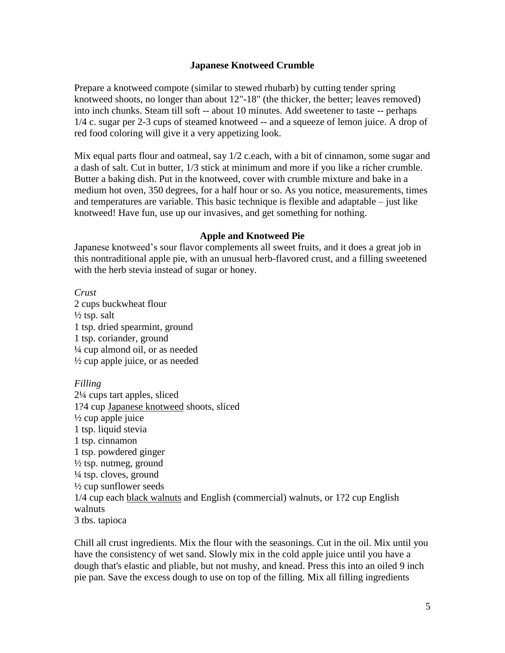## **Japanese Knotweed Crumble**

Prepare a knotweed compote (similar to stewed rhubarb) by cutting tender spring knotweed shoots, no longer than about 12"-18" (the thicker, the better; leaves removed) into inch chunks. Steam till soft -- about 10 minutes. Add sweetener to taste -- perhaps 1/4 c. sugar per 2-3 cups of steamed knotweed -- and a squeeze of lemon juice. A drop of red food coloring will give it a very appetizing look.

Mix equal parts flour and oatmeal, say  $1/2$  c.each, with a bit of cinnamon, some sugar and a dash of salt. Cut in butter, 1/3 stick at minimum and more if you like a richer crumble. Butter a baking dish. Put in the knotweed, cover with crumble mixture and bake in a medium hot oven, 350 degrees, for a half hour or so. As you notice, measurements, times and temperatures are variable. This basic technique is flexible and adaptable – just like knotweed! Have fun, use up our invasives, and get something for nothing.

#### **Apple and Knotweed Pie**

[Japanese knotweed's](http://www.wildmanstevebrill.com/Plants.Folder/Knotweed.html) sour flavor complements all sweet fruits, and it does a great job in this nontraditional apple pie, with an unusual herb-flavored crust, and a filling sweetened with the herb stevia instead of sugar or honey.

*Crust* 2 cups buckwheat flour  $\frac{1}{2}$  tsp. salt 1 tsp. dried spearmint, ground 1 tsp. coriander, ground ¼ cup almond oil, or as needed  $\frac{1}{2}$  cup apple juice, or as needed

## *Filling*

2¼ cups tart apples, sliced 1?4 cup [Japanese knotweed](http://www.wildmanstevebrill.com/Plants.Folder/Knotweed.html) shoots, sliced  $\frac{1}{2}$  cup apple juice 1 tsp. liquid stevia 1 tsp. cinnamon 1 tsp. powdered ginger  $\frac{1}{2}$  tsp. nutmeg, ground  $\frac{1}{4}$  tsp. cloves, ground  $\frac{1}{2}$  cup sunflower seeds 1/4 cup each [black walnuts](http://www.wildmanstevebrill.com/Plants.Folder/BlackWalnut.html) and English (commercial) walnuts, or 1?2 cup English walnuts 3 tbs. tapioca

Chill all crust ingredients. Mix the flour with the seasonings. Cut in the oil. Mix until you have the consistency of wet sand. Slowly mix in the cold apple juice until you have a dough that's elastic and pliable, but not mushy, and knead. Press this into an oiled 9 inch pie pan. Save the excess dough to use on top of the filling. Mix all filling ingredients